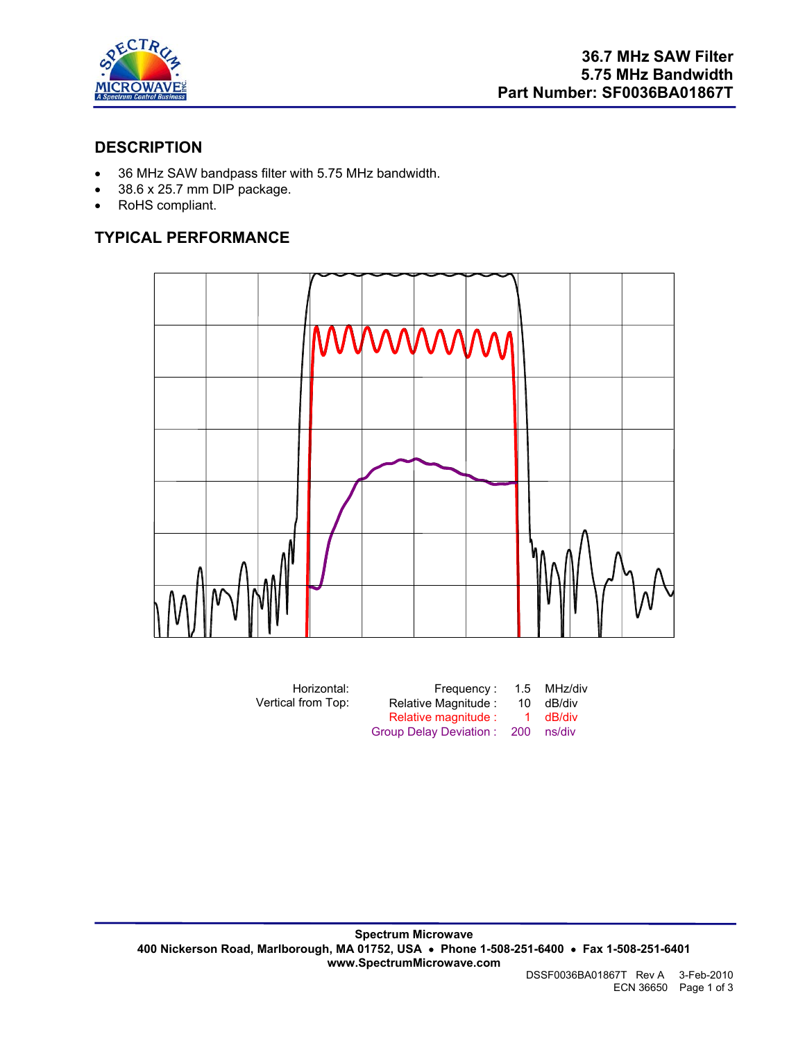

# **DESCRIPTION**

- 36 MHz SAW bandpass filter with 5.75 MHz bandwidth.
- $\bullet$  38.6 x 25.7 mm DIP package.
- RoHS compliant.

# **TYPICAL PERFORMANCE**



| Horizontal:        | Frequency:                 |    | 1.5 MHz/div |
|--------------------|----------------------------|----|-------------|
| Vertical from Top: | Relative Magnitude:        | 10 | dB/div      |
|                    | Relative magnitude :       | -1 | dB/div      |
|                    | Group Delay Deviation: 200 |    | ns/div      |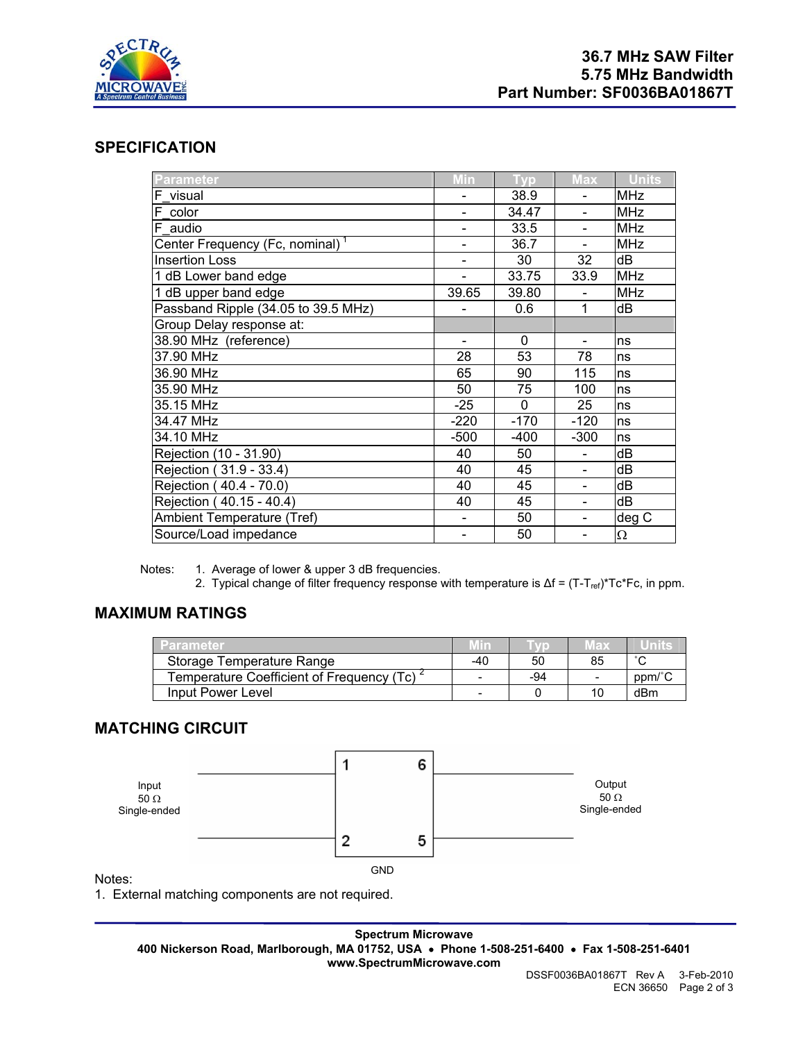

# **SPECIFICATION**

| <b>Parameter</b>                            | Min            | <b>Vp</b> | <b>Max</b>               | <b>Units</b> |
|---------------------------------------------|----------------|-----------|--------------------------|--------------|
| F visual                                    |                | 38.9      |                          | <b>MHz</b>   |
| F color                                     |                | 34.47     | -                        | <b>MHz</b>   |
| F audio                                     |                | 33.5      |                          | <b>MHz</b>   |
| Center Frequency (Fc, nominal) <sup>1</sup> |                | 36.7      |                          | <b>MHz</b>   |
| <b>Insertion Loss</b>                       |                | 30        | 32                       | dB           |
| 1 dB Lower band edge                        |                | 33.75     | 33.9                     | <b>MHz</b>   |
| 1 dB upper band edge                        | 39.65          | 39.80     |                          | <b>MHz</b>   |
| Passband Ripple (34.05 to 39.5 MHz)         |                | 0.6       | 1                        | dB           |
| Group Delay response at:                    |                |           |                          |              |
| 38.90 MHz (reference)                       | $\blacksquare$ | $\Omega$  | $\overline{\phantom{a}}$ | ns           |
| 37.90 MHz                                   | 28             | 53        | 78                       | ns           |
| 36.90 MHz                                   | 65             | 90        | 115                      | ns           |
| 35.90 MHz                                   | 50             | 75        | 100                      | ns           |
| 35.15 MHz                                   | $-25$          | $\Omega$  | 25                       | ns           |
| 34.47 MHz                                   | $-220$         | $-170$    | $-120$                   | ns           |
| 34.10 MHz                                   | $-500$         | $-400$    | $-300$                   | ns           |
| Rejection (10 - 31.90)                      | 40             | 50        |                          | dB           |
| Rejection (31.9 - 33.4)                     | 40             | 45        |                          | dB           |
| Rejection (40.4 - 70.0)                     | 40             | 45        | $\overline{\phantom{0}}$ | dB           |
| Rejection (40.15 - 40.4)                    | 40             | 45        | $\overline{\phantom{0}}$ | dB           |
| Ambient Temperature (Tref)                  |                | 50        |                          | deg C        |
| Source/Load impedance                       |                | 50        | -                        | $\Omega$     |

Notes: 1. Average of lower & upper 3 dB frequencies.

2. Typical change of filter frequency response with temperature is Δf = (T-T<sub>ref)</sub>\*Tc\*Fc, in ppm.

# **MAXIMUM RATINGS**

| Parameter                                              | Min |     | พลม                      | unne   |
|--------------------------------------------------------|-----|-----|--------------------------|--------|
| Storage Temperature Range                              | -40 | 50  | 85                       | $\sim$ |
| Temperature Coefficient of Frequency (Tc) <sup>2</sup> | -   | -94 | $\overline{\phantom{a}}$ | ppm/°C |
| Input Power Level                                      | -   |     |                          | dBm    |

### **MATCHING CIRCUIT**



Notes:

1. External matching components are not required.